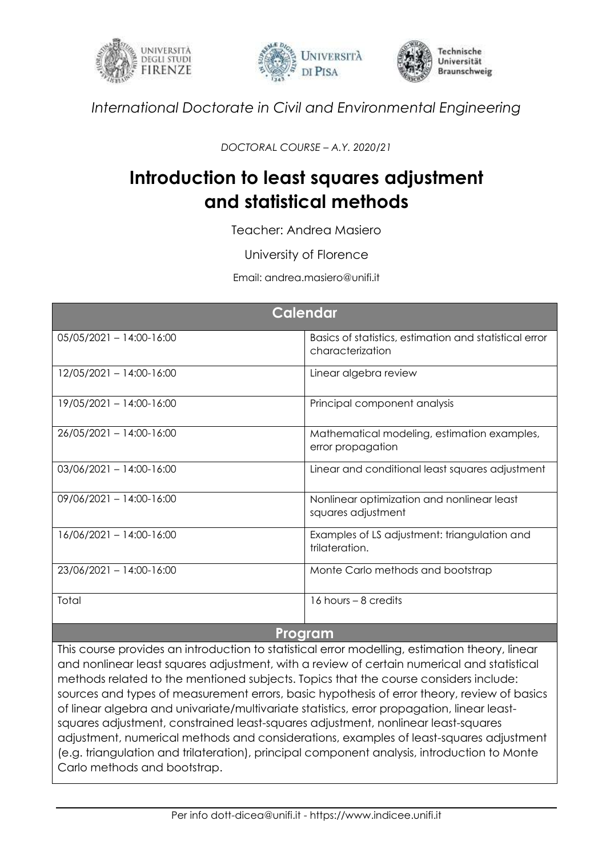





*International Doctorate in Civil and Environmental Engineering*

*DOCTORAL COURSE – A.Y. 2020/21*

## **Introduction to least squares adjustment and statistical methods**

Teacher: Andrea Masiero

University of Florence

Email: andrea.masiero@unifi.it

| Calendar                   |                                                                            |
|----------------------------|----------------------------------------------------------------------------|
| $05/05/2021 - 14:00-16:00$ | Basics of statistics, estimation and statistical error<br>characterization |
| 12/05/2021 - 14:00-16:00   | Linear algebra review                                                      |
| 19/05/2021 - 14:00-16:00   | Principal component analysis                                               |
| 26/05/2021 - 14:00-16:00   | Mathematical modeling, estimation examples,<br>error propagation           |
| $03/06/2021 - 14:00-16:00$ | Linear and conditional least squares adjustment                            |
| $09/06/2021 - 14:00-16:00$ | Nonlinear optimization and nonlinear least<br>squares adjustment           |
| $16/06/2021 - 14:00-16:00$ | Examples of LS adjustment: triangulation and<br>trilateration.             |
| 23/06/2021 - 14:00-16:00   | Monte Carlo methods and bootstrap                                          |
| Total                      | 16 hours $-8$ credits                                                      |
| Program                    |                                                                            |

This course provides an introduction to statistical error modelling, estimation theory, linear and nonlinear least squares adjustment, with a review of certain numerical and statistical methods related to the mentioned subjects. Topics that the course considers include: sources and types of measurement errors, basic hypothesis of error theory, review of basics of linear algebra and univariate/multivariate statistics, error propagation, linear leastsquares adjustment, constrained least-squares adjustment, nonlinear least-squares adjustment, numerical methods and considerations, examples of least-squares adjustment (e.g. triangulation and trilateration), principal component analysis, introduction to Monte Carlo methods and bootstrap.